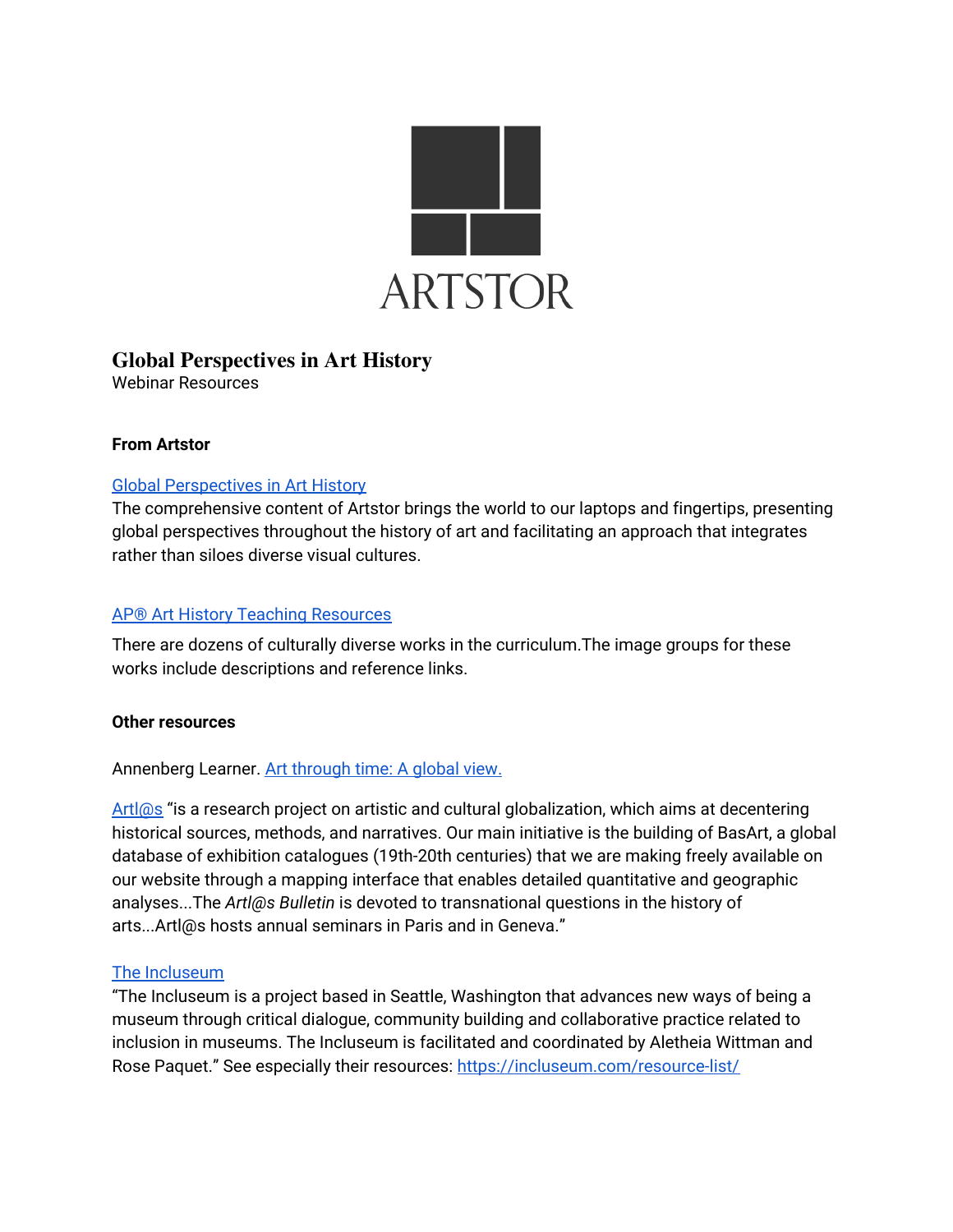

# **Global Perspectives in Art History**

Webinar Resources

## **From Artstor**

## Global [Perspectives](https://library.artstor.org/group/9cf8d855-46ed-4c54-ac0b-d97f17bff869?token=jIv0fhFOQpGMTjHK9hJYvQ) in Art History

The comprehensive content of Artstor brings the world to our laptops and fingertips, presenting global perspectives throughout the history of art and facilitating an approach that integrates rather than siloes diverse visual cultures.

#### AP® Art History Teaching [Resources](https://artstor.libguides.com/APArtHistory)

There are dozens of culturally diverse works in the curriculum.The image groups for these works include descriptions and reference links.

#### **Other resources**

## Annenberg Learner. Art [through](https://www.learner.org/series/art-through-time-a-global-view/) time: A global view.

[Artl@s](https://artlas.huma-num.fr/en/about/) "is a research project on artistic and cultural globalization, which aims at decentering historical sources, methods, and narratives. Our main initiative is the building of BasArt, a global database of exhibition catalogues (19th-20th centuries) that we are making freely available on our website through a mapping interface that enables detailed quantitative and geographic analyses...The *Artl@s Bulletin* is devoted to transnational questions in the history of arts...Artl@s hosts annual seminars in Paris and in Geneva."

## The [Incluseum](https://incluseum.com/)

"The Incluseum is a project based in Seattle, Washington that advances new ways of being a museum through critical dialogue, community building and collaborative practice related to inclusion in museums. The Incluseum is facilitated and coordinated by Aletheia Wittman and Rose Paquet." See especially their resources: <https://incluseum.com/resource-list/>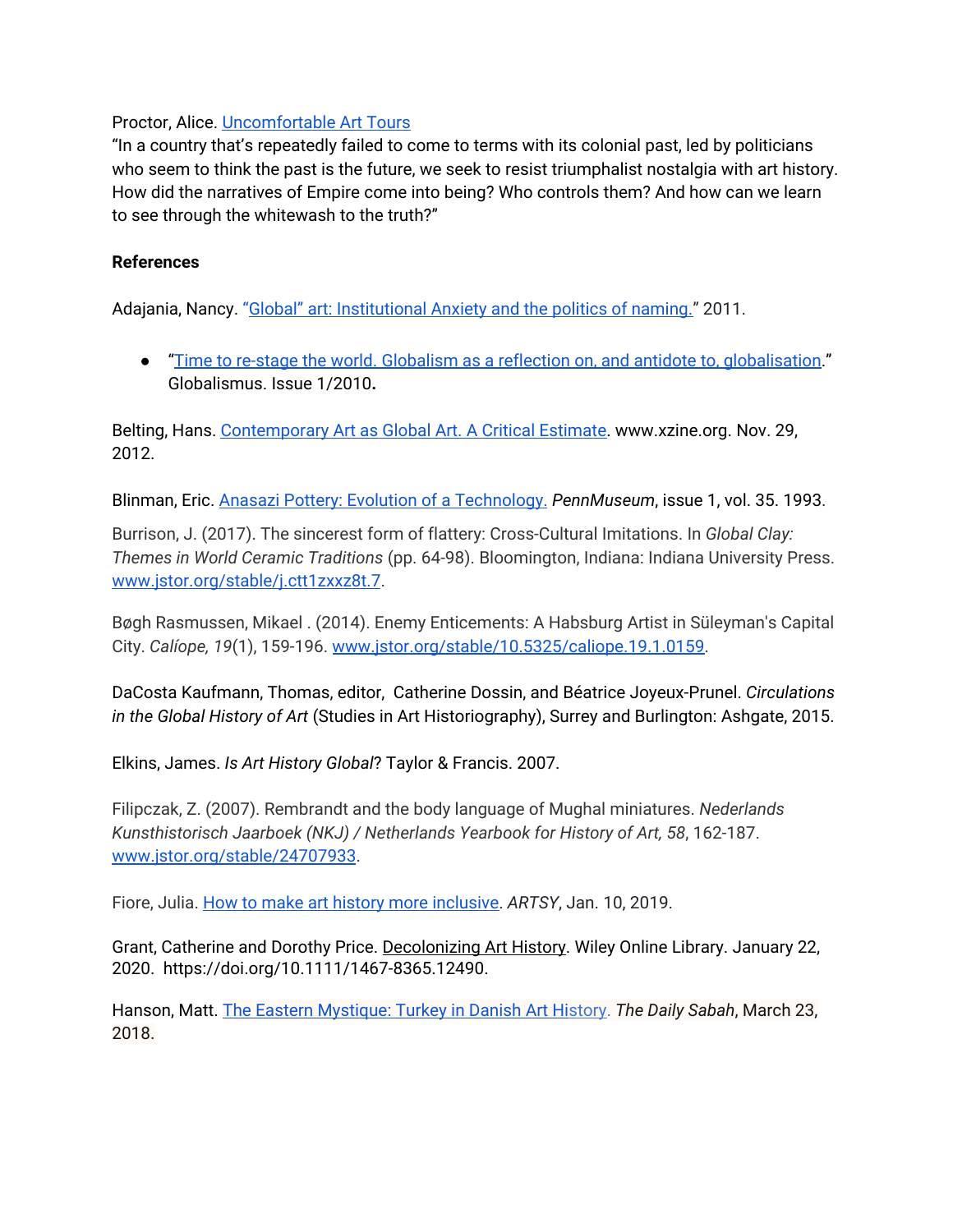Proctor, Alice. [Uncomfortable](https://www.theexhibitionist.org/) Art Tours

"In a country that's repeatedly failed to come to terms with its colonial past, led by politicians who seem to think the past is the future, we seek to resist triumphalist nostalgia with art history. How did the narratives of Empire come into being? Who controls them? And how can we learn to see through the whitewash to the truth?"

#### **References**

[Adajania,](http://archive.summeracademy.at/media/pdf/pdf815.pdf) Nancy. ["Global"](http://archive.summeracademy.at/media/pdf/pdf815.pdf) art: Institutional Anxiety and the politics of naming." 2011.

● "Time to re-stage the world. Globalism as a reflection on, and antidote to, [globalisation.](https://www.springerin.at/en/2010/1/)" Globalismus. Issue 1/2010**.**

Belting, Hans. [Contemporary](http://www.xzine.org/rhaa/2012/11/29/contemporary-art-as-global-art-a-critical-estimate/) Art as Global Art. A Critical Estimate. www.xzine.org. Nov. 29, 2012.

Blinman, Eric. Anasazi Pottery: Evolution of a [Technology.](https://www.penn.museum/sites/expedition/author/?id=Eric+Blinman) *PennMuseum*, issue 1, vol. 35. 1993.

Burrison, J. (2017). The sincerest form of flattery: Cross-Cultural Imitations. In *Global Clay: Themes in World Ceramic Traditions* (pp. 64-98). Bloomington, Indiana: Indiana University Press. [www.jstor.org/stable/j.ctt1zxxz8t.7](http://www.jstor.org/stable/j.ctt1zxxz8t.7).

Bøgh Rasmussen, Mikael . (2014). Enemy Enticements: A Habsburg Artist in Süleyman's Capital City. *Calíope, 19*(1), 159-196. [www.jstor.org/stable/10.5325/caliope.19.1.0159.](http://www.jstor.org/stable/10.5325/caliope.19.1.0159)

DaCosta Kaufmann, Thomas, editor, Catherine Dossin, and Béatrice Joyeux-Prunel. *Circulations in the Global History of Art* (Studies in Art Historiography), Surrey and Burlington: Ashgate, 2015.

Elkins, James. *Is Art History Global*? Taylor & Francis. 2007.

Filipczak, Z. (2007). Rembrandt and the body language of Mughal miniatures. *Nederlands Kunsthistorisch Jaarboek (NKJ) / Netherlands Yearbook for History of Art, 58*, 162-187. [www.jstor.org/stable/24707933.](http://www.jstor.org/stable/24707933)

Fiore, Julia. How to make art history more [inclusive.](https://www.artsy.net/article/artsy-editorial-three-ways-art-history-change-2019) *ARTSY*, Jan. 10, 2019.

Grant, Catherine and Dorothy Price. [Decolonizing](https://onlinelibrary.wiley.com/doi/10.1111/1467-8365.12490) Art History. Wiley Online Library. January 22, 2020. <https://doi.org/10.1111/1467-8365.12490>.

Hanson, Matt. The Eastern [Mystique:](https://www.dailysabah.com/arts-culture/2018/03/23/the-eastern-mystique-turkey-in-danish-art-history) Turkey in Danish Art H[isto](https://www.dailysabah.com/arts-culture/2018/03/23/the-eastern-mystique-turkey-in-danish-art-history)ry. *The Daily Sabah*, March 23, 2018.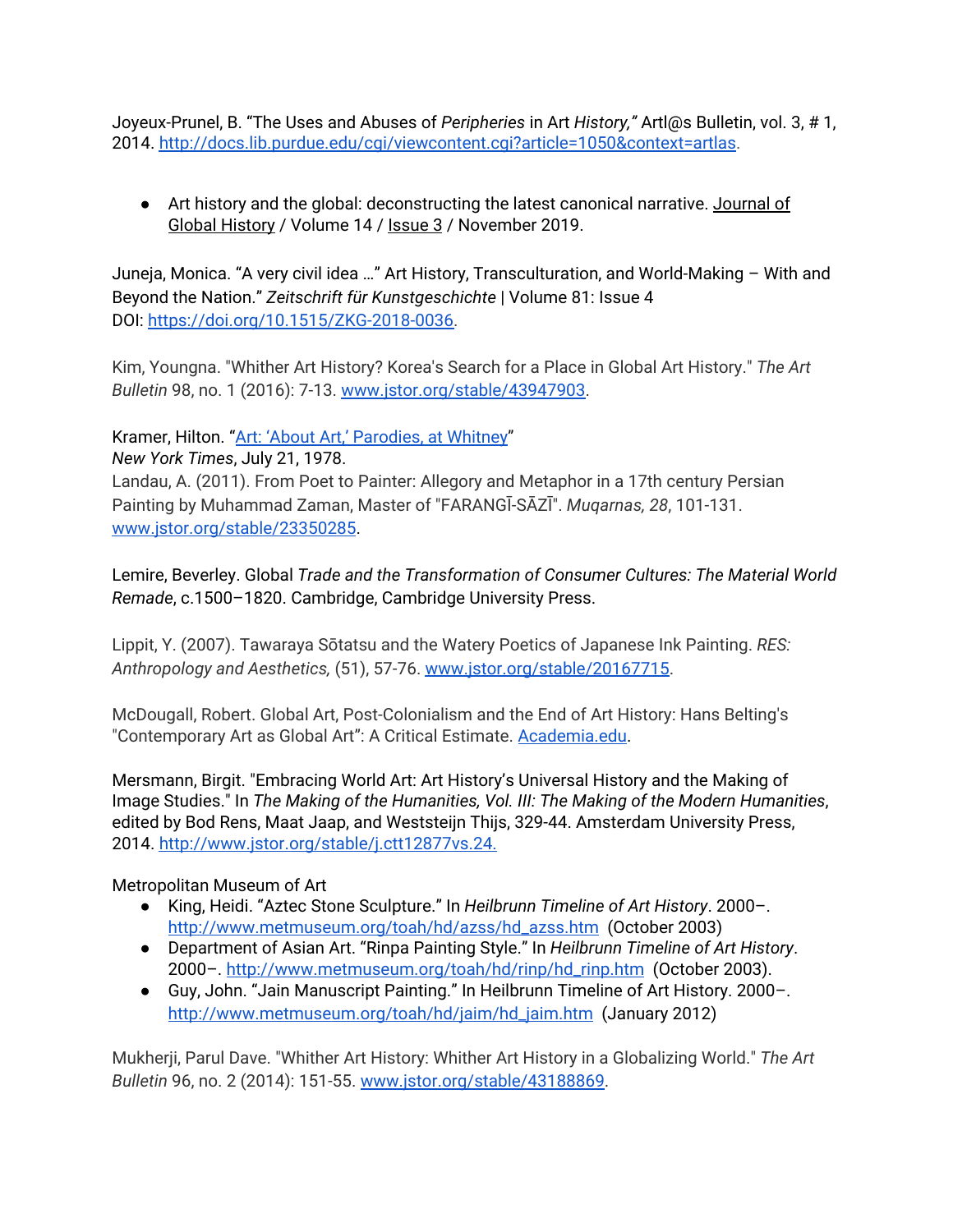Joyeux-Prunel, B. "The Uses and Abuses of *Peripheries* in Art *History,"* Artl@s Bulletin, vol. 3, # 1, 2014. <http://docs.lib.purdue.edu/cgi/viewcontent.cgi?article=1050&context=artlas>.

● Art history and the global: [deconstructing](https://www.cambridge.org/core/journals/journal-of-global-history/article/art-history-and-the-global-deconstructing-the-latest-canonical-narrative/CB46EC03FC653BDB091EBC9E709BA1E4) the latest canonical narrative. [Journal](https://www.cambridge.org/core/journals/journal-of-global-history) of Global [History](https://www.cambridge.org/core/journals/journal-of-global-history) / Volume 14 / [Issue](https://www.cambridge.org/core/product/8254B24B45B2D908736F4915B4B6A3D3) 3 / November 2019.

Juneja, Monica. "A very civil idea …" Art History, Transculturation, and World-Making – With and Beyond the Nation." *Zeitschrift für Kunstgeschichte* | Volume 81: Issue 4 DOI: [https://doi.org/10.1515/ZKG-2018-0036.](https://doi.org/10.1515/ZKG-2018-0036)

Kim, Youngna. "Whither Art History? Korea's Search for a Place in Global Art History." *The Art Bulletin* 98, no. 1 (2016): 7-13. [www.jstor.org/stable/43947903](http://www.jstor.org/stable/43947903).

Kramer, Hilton. "Art: 'About Art,' [Parodies,](https://www.nytimes.com/1978/07/21/archives/art-about-art-parodies-at-whitney.htmlamer%20July%2021,%201978) at Whitney"

*New York [Times](https://www.nytimes.com/1978/07/21/archives/art-about-art-parodies-at-whitney.htmlamer%20July%2021,%201978)*, July 21, [1978.](https://www.nytimes.com/1978/07/21/archives/art-about-art-parodies-at-whitney.htmlamer%20July%2021,%201978) Landau, A. (2011). From Poet to Painter: Allegory and Metaphor in a 17th century Persian Painting by Muhammad Zaman, Master of "FARANGĪ-SĀZĪ". *Muqarnas, 28*, 101-131. [www.jstor.org/stable/23350285.](http://www.jstor.org/stable/23350285)

Lemire, Beverley. Global *Trade and the Transformation of Consumer Cultures: The Material World Remade*, c.1500–1820. Cambridge, Cambridge University Press.

Lippit, Y. (2007). Tawaraya Sōtatsu and the Watery Poetics of Japanese Ink Painting. *RES: Anthropology and Aesthetics,* (51), 57-76. [www.jstor.org/stable/20167715](http://www.jstor.org/stable/20167715).

McDougall, Robert. Global Art, Post-Colonialism and the End of Art History: Hans Belting's "Contemporary Art as Global Art": A Critical Estimate. [Academia.edu.](https://www.academia.edu/22457430/Global_Art_Post_Colonialism_and_the_End_of_Art_History_Hans_Beltings_Contemporary_Art_as_Global_Art_A_Critical_Estimate_?auto=download&email_work_card=download-paper)

Mersmann, Birgit. "Embracing World Art: Art History's Universal History and the Making of Image Studies." In *The Making of the Humanities, Vol. III: The Making of the Modern Humanities*, edited by Bod Rens, Maat Jaap, and Weststeijn Thijs, 329-44. Amsterdam University Press, 2014. <http://www.jstor.org/stable/j.ctt12877vs.24>.

## Metropolitan Museum of Art

- King, Heidi. "Aztec Stone Sculpture." In *Heilbrunn Timeline of Art History*. 2000–. [http://www.metmuseum.org/toah/hd/azss/hd\\_azss.htm](http://www.metmuseum.org/toah/hd/azss/hd_azss.htm) (October 2003)
- Department of Asian Art. "Rinpa Painting Style." In *Heilbrunn Timeline of Art History*. 2000–. [http://www.metmuseum.org/toah/hd/rinp/hd\\_rinp.htm](http://www.metmuseum.org/toah/hd/rinp/hd_rinp.htm) (October 2003).
- Guy, John. "Jain Manuscript Painting." In Heilbrunn Timeline of Art History. 2000–. [http://www.metmuseum.org/toah/hd/jaim/hd\\_jaim.htm](http://www.metmuseum.org/toah/hd/jaim/hd_jaim.htm) (January 2012)

Mukherji, Parul Dave. "Whither Art History: Whither Art History in a Globalizing World." *The Art Bulletin* 96, no. 2 (2014): 151-55. [www.jstor.org/stable/43188869](http://www.jstor.org/stable/43188869).